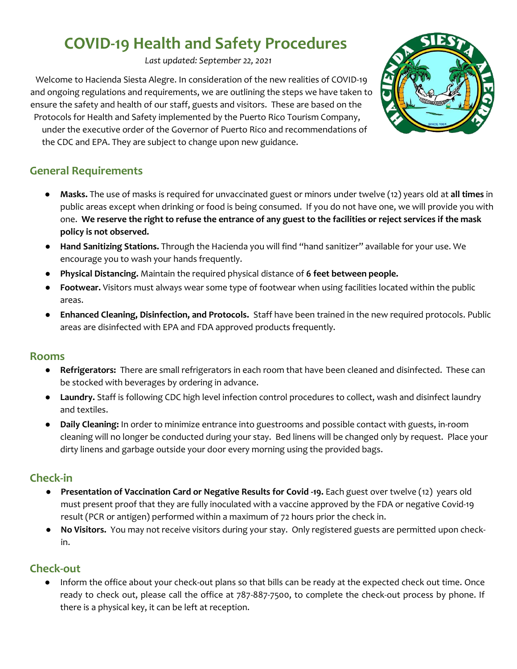# **COVID-19 Health and Safety Procedures**

*Last updated: September 22, 2021*

Welcome to Hacienda Siesta Alegre. In consideration of the new realities of COVID-19 and ongoing regulations and requirements, we are outlining the steps we have taken to ensure the safety and health of our staff, guests and visitors. These are based on the Protocols for Health and Safety implemented by the Puerto Rico Tourism Company, under the executive order of the Governor of Puerto Rico and recommendations of the CDC and EPA. They are subject to change upon new guidance.

# **General Requirements**

- **Masks.** The use of masks is required for unvaccinated guest or minors under twelve (12) years old at **all times** in public areas except when drinking or food is being consumed. If you do not have one, we will provide you with one. **We reserve the right to refuse the entrance of any guest to the facilities or reject services if the mask policy is not observed.**
- **Hand Sanitizing Stations.** Through the Hacienda you will find "hand sanitizer" available for your use. We encourage you to wash your hands frequently.
- **Physical Distancing.** Maintain the required physical distance of **6 feet between people.**
- Footwear. Visitors must always wear some type of footwear when using facilities located within the public areas.
- **Enhanced Cleaning, Disinfection, and Protocols.** Staff have been trained in the new required protocols. Public areas are disinfected with EPA and FDA approved products frequently.

## **Rooms**

- **Refrigerators:** There are small refrigerators in each room that have been cleaned and disinfected. These can be stocked with beverages by ordering in advance.
- **Laundry.** Staff is following CDC high level infection control procedures to collect, wash and disinfect laundry and textiles.
- **Daily Cleaning:** In order to minimize entrance into guestrooms and possible contact with guests, in-room cleaning will no longer be conducted during your stay. Bed linens will be changed only by request. Place your dirty linens and garbage outside your door every morning using the provided bags.

## **Check-in**

- **Presentation of Vaccination Card or Negative Results for Covid -19.** Each guest over twelve (12) years old must present proof that they are fully inoculated with a vaccine approved by the FDA or negative Covid-19 result (PCR or antigen) performed within a maximum of 72 hours prior the check in.
- **No Visitors.** You may not receive visitors during your stay. Only registered guests are permitted upon checkin.

# **Check-out**

● Inform the office about your check-out plans so that bills can be ready at the expected check out time. Once ready to check out, please call the office at 787-887-7500, to complete the check-out process by phone. If there is a physical key, it can be left at reception.

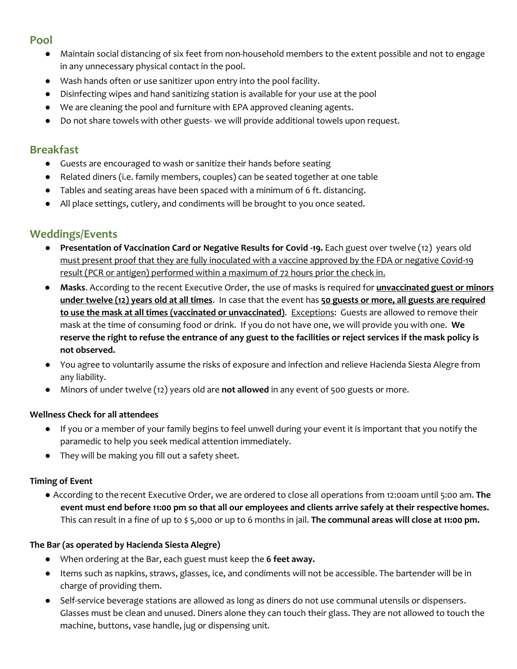## **Pool**

- Maintain social distancing of six feet from non-household members to the extent possible and not to engage in any unnecessary physical contact in the pool.
- Wash hands often or use sanitizer upon entry into the pool facility.
- Disinfecting wipes and hand sanitizing station is available for your use at the pool
- We are cleaning the pool and furniture with EPA approved cleaning agents.
- Do not share towels with other guests- we will provide additional towels upon request.

## **Breakfast**

- Guests are encouraged to wash or sanitize their hands before seating
- Related diners (i.e. family members, couples) can be seated together at one table
- Tables and seating areas have been spaced with a minimum of 6 ft. distancing.
- All place settings, cutlery, and condiments will be brought to you once seated.

# **Weddings/Events**

- **Presentation of Vaccination Card or Negative Results for Covid -19.** Each guest over twelve (12) years old must present proof that they are fully inoculated with a vaccine approved by the FDA or negative Covid-19 result (PCR or antigen) performed within a maximum of 72 hours prior the check in.
- **Masks**. According to the recent Executive Order, the use of masks is required for **unvaccinated guest or minors under twelve (12) years old at all times**. In case that the event has **50 guests or more, all guests are required to use the mask at all times (vaccinated or unvaccinated)**. Exceptions: Guests are allowed to remove their mask at the time of consuming food or drink. If you do not have one, we will provide you with one. **We reserve the right to refuse the entrance of any guest to the facilities or reject services if the mask policy is not observed.**
- You agree to voluntarily assume the risks of exposure and infection and relieve Hacienda Siesta Alegre from any liability.
- Minors of under twelve (12) years old are **not allowed** in any event of 500 guests or more.

#### **Wellness Check for all attendees**

- If you or a member of your family begins to feel unwell during your event it is important that you notify the paramedic to help you seek medical attention immediately.
- They will be making you fill out a safety sheet.

#### **Timing of Event**

● According to the recent Executive Order, we are ordered to close all operations from 12:00am until 5:00 am. **The event must end before 11:00 pm so that all our employees and clients arrive safely at their respective homes.** This can result in a fine of up to \$ 5,000 or up to 6 months in jail. **The communal areas will close at 11:00 pm.**

#### **The Bar (as operated by Hacienda Siesta Alegre)**

- When ordering at the Bar, each guest must keep the **6 feet away.**
- Items such as napkins, straws, glasses, ice, and condiments will not be accessible. The bartender will be in charge of providing them.
- Self-service beverage stations are allowed as long as diners do not use communal utensils or dispensers. Glasses must be clean and unused. Diners alone they can touch their glass. They are not allowed to touch the machine, buttons, vase handle, jug or dispensing unit.